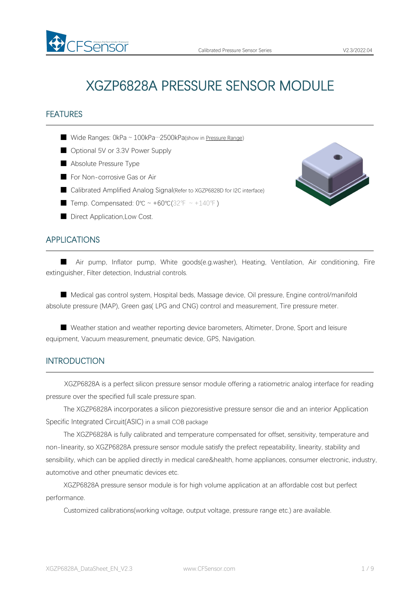# XGZP6828A PRESSURE SENSOR MODULE

# FEATURES

■ Wide Ranges: 0kPa ~ 100kPa…2500kPa(show in [Pressure](#page-4-0) Range)

- Optional 5V or 3.3V Power Supply
- Absolute Pressure Type
- For Non-corrosive Gas or Air
- Calibrated Amplified Analog Signal(Refer to XGZP6828D for I2C interface)
- Temp. Compensated:  $0^{\circ}C \sim +60^{\circ}C(32^{\circ}F \sim +140^{\circ}F)$
- Direct Application, Low Cost.

# APPLICATIONS

■ Air pump, Inflator pump, White goods(e.g.washer), Heating, Ventilation, Air conditioning, Fire extinguisher, Filter detection, Industrial controls.

■ Medical gas control system, Hospital beds, Massage device, Oil pressure, Engine control/manifold absolute pressure (MAP), Green gas( LPG and CNG) control and measurement, Tire pressure meter.

■ Weather station and weather reporting device barometers, Altimeter, Drone, Sport and leisure equipment, Vacuum measurement, pneumatic device, GPS, Navigation.

#### INTRODUCTION

XGZP6828A is a perfect silicon pressure sensor module offering a ratiometric analog interface for reading pressure over the specified full scale pressure span.

The XGZP6828A incorporates a silicon piezoresistive pressure sensor die and an interior Application Specific Integrated Circuit(ASIC) in a small COB package

The XGZP6828A is fully calibrated and temperature compensated for offset, sensitivity, temperature and non-linearity, so XGZP6828A pressure sensor module satisfy the prefect repeatability, linearity, stability and sensibility, which can be applied directly in medical care&health, home appliances, consumer electronic, industry, automotive and other pneumatic devices etc.

XGZP6828A pressure sensor module is for high volume application at an affordable cost but perfect performance.

Customized calibrations(working voltage, output voltage, pressure range etc.) are available.

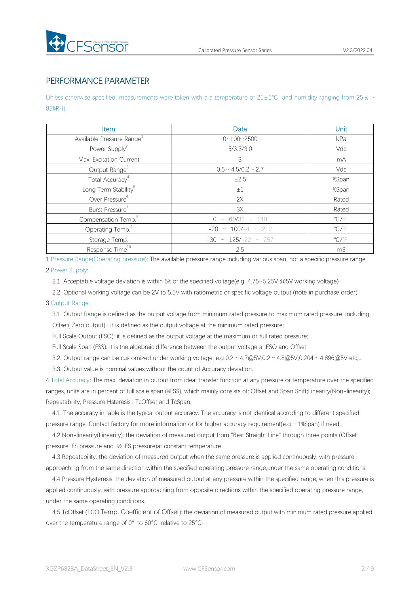

# PERFORMANCE PARAMETER

Unless otherwise specified, measurements were taken with a a temperature of 25±1℃ and humidity ranging from 25 % ~ 85%RH)

| Item                                  | Data                        | Unit                    |
|---------------------------------------|-----------------------------|-------------------------|
| Available Pressure Range <sup>1</sup> | $0 - 100 - 2500$            | kPa                     |
| Power Supply <sup>2</sup>             | 5/3.3/3.0                   | Vdc                     |
| Max. Excitation Current               | 3                           | mA                      |
| Output Range <sup>3</sup>             | $0.5 \sim 4.5/0.2 \sim 2.7$ | Vdc                     |
| Total Accuracy <sup>4</sup>           | ±2.5                        | %Span                   |
| Long Term Stability <sup>5</sup>      | $\pm 1$                     | %Span                   |
| Over Pressure <sup>6</sup>            | 2X                          | Rated                   |
| Burst Pressure <sup>7</sup>           | 3X                          | Rated                   |
| Compensation Temp. <sup>8</sup>       | $0 \sim 60/32 \sim 140$     | $\mathrm{C}/\mathrm{F}$ |
| Operating Temp. <sup>9</sup>          | $-20 \sim 100/-4 \sim 212$  | $\mathrm{C}/\mathrm{F}$ |
| Storage Temp.                         | $-30 \sim 125/-22 \sim 257$ | $\mathrm{C}/\mathrm{F}$ |
| Response Time <sup>10</sup>           | 2.5                         | mS                      |

1 Pressure Range(Operating pressure): The available pressure range including variousspan, not a specific pressure range .

#### 2 Power Supply:

2.1. Acceptable voltage deviation is within 5% of the specified voltage(e.g. 4.75~5.25V @5V working voltage)

2.2. Optional working voltage can be 2V to 5.5V with ratiometric or specific voltage output (note in purchase order).

#### 3 Output Range:

3.1. Output Range is defined as the output voltage from minimum rated pressure to maximum rated pressure, including Offset( Zero output) : it is defined as the output voltage at the minimum rated pressure;

Full Scale Output (FSO): it is defined as the output voltage at the maximum or full rated pressure;

Full Scale Span (FSS): it is the algebraic difference between the output voltage at FSO and Offset.

3.2. Output range can be customized under working voltage, e.g  $0.2 \sim 4.7 \textcircled{g}5V;0.2 \sim 4.8 \textcircled{g}5V;0.204 \sim 4.896 \textcircled{g}5V$  etc,..

3.3. Output value is nominal values without the count of Accuracy deviation.

4 Total Accuracy: The max. deviation in output from ideal transfer function at any pressure or temperature over the specified ranges, units are in percent of full scale span (%FSS), which mainly consists of: Offset and Span Shift;Linearity(Non-linearity); Repeatability; Pressure Hsteresis ; TcOffset and TcSpan.

4.1. The accuracy in table is the typical output accuracy. The accuracy is notidentical accroding to different specified pressure range. Contact factory for more information or for higher accuracy requirement(e.g ±1%Span) if need.

4.2 Non-linearity(Linearity): the deviation of measured output from "Best Straight Line" through three points (Offset pressure, FS pressure and ½ FS pressure)at constant temperature.

4.3 Repeatability: the deviation of measured output when the same pressure is applied continuously, with pressure approaching from the same direction within the specified operating pressure range,under the same operating conditions.

4.4 Pressure Hysteresis: the deviation of measured output at any pressure within the specified range, when this pressure is applied continuously, with pressure approaching from opposite directions within the specified operating pressure range, under the same operating conditions.

4.5 TcOffset (TCO:Temp. Coefficient of Offset): the deviation of measured output with minimum rated pressure applied, over the temperature range of 0° to 60°C, relative to 25°C.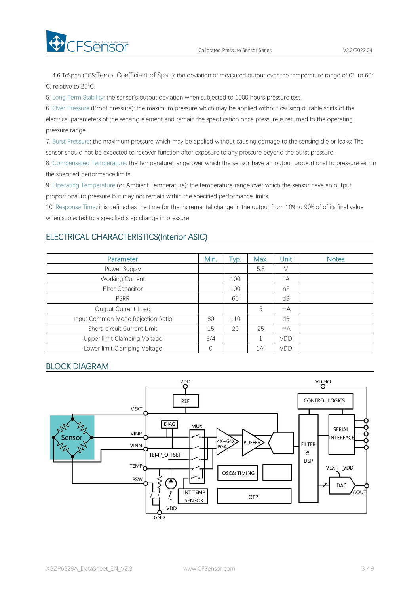

4.6 TcSpan (TCS:Temp. Coefficient of Span): the deviation of measured output over the temperature range of 0° to 60° C, relative to 25°C.

5. Long Term Stability: the sensor's output deviation when subjected to 1000 hours pressure test.

6. Over Pressure (Proof pressure): the maximum pressure which may be applied without causing durable shifts of the electrical parameters of the sensing element and remain the specification once pressure is returned to the operating pressure range.

7. Burst Pressure: the maximum pressure which may be applied without causing damage to the sensing die or leaks; The sensor should not be expected to recover function after exposure to any pressure beyond the burst pressure.

8. Compensated Temperature: the temperature range over which the sensor have an output proportional to pressure within the specified performance limits.

9. Operating Temperature (or Ambient Temperature): the temperature range over which the sensor have an output proportional to pressure but may not remain within the specified performance limits.

10. Response Time: it is defined as the time for the incremental change in the output from 10% to 90% of of its final value when subjected to a specified step change in pressure.

#### ELECTRICAL CHARACTERISTICS(Interior ASIC)

| Parameter                         | Min. | Tур. | Max. | Unit | <b>Notes</b> |
|-----------------------------------|------|------|------|------|--------------|
| Power Supply                      |      |      | 5.5  | V    |              |
| <b>Working Current</b>            |      | 100  |      | nA   |              |
| <b>Filter Capacitor</b>           |      | 100  |      | nF   |              |
| <b>PSRR</b>                       |      | 60   |      | dB   |              |
| Output Current Load               |      |      | 5    | mA   |              |
| Input Common Mode Rejection Ratio | 80   | 110  |      | dB   |              |
| Short-circuit Current Limit       | 15   | 20   | 25   | mA   |              |
| Upper limit Clamping Voltage      | 3/4  |      |      | VDD  |              |
| Lower limit Clamping Voltage      |      |      | 1/4  | VDD  |              |

# BLOCK DIAGRAM

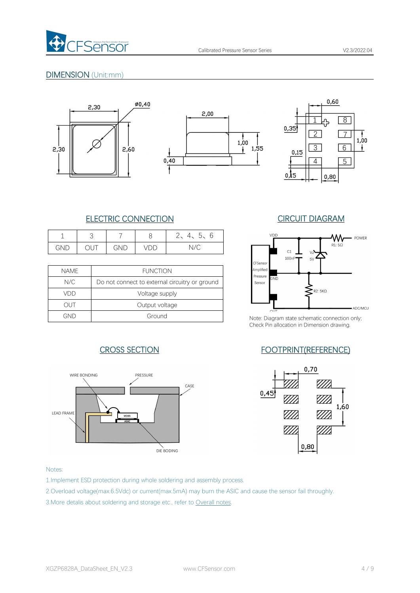

# DIMENSION (Unit:mm)







# ELECTRIC CONNECTION CIRCUIT DIAGRAM

|     | ٮ    |     | ◡   | $\sim$<br>∽<br>4.<br>$\sim$<br>ぃ<br>$\check{ }$ | VDD |
|-----|------|-----|-----|-------------------------------------------------|-----|
| GND | ◡◡ ៲ | GND | VDD | $\vee C$                                        |     |

|             |                                                | --------           |              |
|-------------|------------------------------------------------|--------------------|--------------|
| <b>NAME</b> | <b>FUNCTION</b>                                | Amplified          |              |
| N/C         | Do not connect to external circuitry or ground | Pressure<br>Sensor | GND          |
| VDD         | Voltage supply                                 |                    |              |
| out         | Output voltage                                 |                    | $\bigcap$ IT |
| GND         | Ground                                         | Note: Diagram      |              |





Note: Diagram state schematic connection only; Check Pin allocation in Dimension drawing.

# CROSS SECTION FOOTPRINT(REFERENCE)



#### Notes:

1.Implement ESD protection during whole soldering and assembly process.

2.Overload voltage(max.6.5Vdc) or current(max.5mA) may burn the ASIC and cause the sensor fail throughly.

3.More detalis about soldering and storage etc., refer to Overall notes.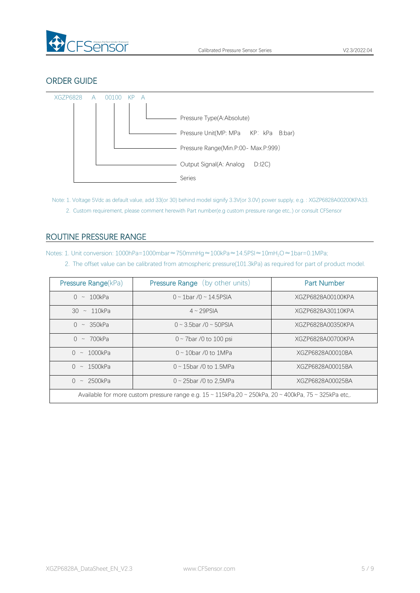

# ORDER GUIDE



Note: 1. Voltage 5Vdc as default value, add 33(or 30) behind model signify 3.3V(or 3.0V) power supply, e.g. : XGZP6828A00200KPA33. 2. Custom requirement, please comment herewith Part number(e.g custom pressure range etc,.) or consult CFSensor

# <span id="page-4-0"></span>ROUTINE PRESSURE RANGE

Notes: 1. Unit conversion: 1000hPa=1000mbar≈750mmHg≈100kPa≈14.5PSI≈10mH<sub>2</sub>O≈1bar=0.1MPa;

2. The offset value can be calibrated from atmospheric pressure(101.3kPa) as required for part of product model.

| Pressure Range(kPa)                                                                                                               | <b>Pressure Range</b> (by other units) | <b>Part Number</b> |  |
|-----------------------------------------------------------------------------------------------------------------------------------|----------------------------------------|--------------------|--|
| $0 \sim 100$ kPa                                                                                                                  | $0 \sim 1$ bar /0 ~ 14.5PSIA           | XGZP6828A00100KPA  |  |
| $30 \sim 110kPa$                                                                                                                  | $4 \sim 29$ PSIA                       | XGZP6828A30110KPA  |  |
| $0 \sim 350kPa$                                                                                                                   | $0 \sim 3.5$ bar / $0 \sim 50$ PSIA    | XGZP6828A00350KPA  |  |
| $0 \sim 700$ kPa                                                                                                                  | $0 \sim$ 7bar /0 to 100 psi            | XGZP6828A00700KPA  |  |
| $0 \sim 1000$ kPa                                                                                                                 | $0 \sim 10$ bar /0 to 1MPa             | XGZP6828A00010BA   |  |
| $0 \sim 1500$ kPa                                                                                                                 | $0 \sim 15$ bar /0 to 1.5MPa           | XGZP6828A00015BA   |  |
| $0 \sim 2500$ kPa                                                                                                                 | $0 \sim 25$ bar /0 to 2,5MPa           | XGZP6828A00025BA   |  |
| Available for more custom pressure range e.g. $15 \approx 115kPa.20 \approx 250kPa.$ 20 $\approx 400kPa.$ 75 $\approx 325kPa$ etc |                                        |                    |  |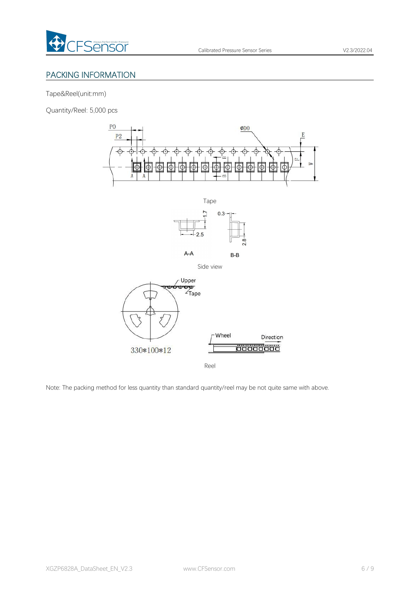

# PACKING INFORMATION

Tape&Reel(unit:mm)

Quantity/Reel: 5,000 pcs



Reel

Note: The packing method for less quantity than standard quantity/reel may be not quite same with above.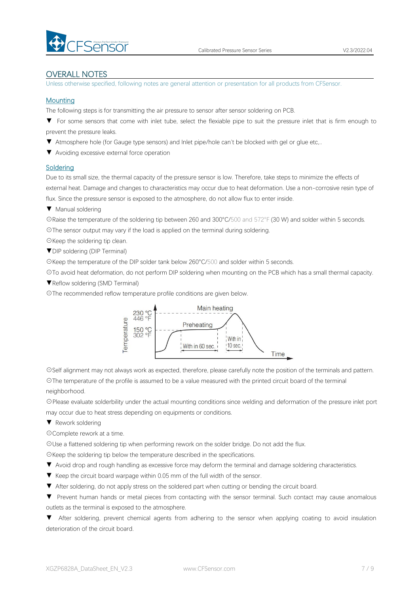

#### OVERALL NOTES

Unless otherwise specified, following notes are general attention or presentation for all products from CFSensor.

#### **Mounting**

The following steps is for transmitting the air pressure to sensor after sensor soldering on PCB.

▼ For some sensors that come with inlet tube, select the flexiable pipe to suit the pressure inlet that is firm enough to prevent the pressure leaks.

- ▼ Atmosphere hole (for Gauge type sensors) and Inlet pipe/hole can't be blocked with gel or glue etc,..
- ▼ Avoiding excessive external force operation

#### **Soldering**

Due to its small size, the thermal capacity of the pressure sensor is low. Therefore, take steps to minimize the effects of external heat. Damage and changes to characteristics may occur due to heat deformation. Use a non-corrosive resin type of flux. Since the pressure sensor is exposed to the atmosphere, do not allow flux to enter inside.

▼ Manual soldering

☉Raise the temperature of the soldering tip between 260 and 300°C/500 and 572°F (30 W) and solder within 5 seconds. ☉The sensor output may vary if the load is applied on the terminal during soldering.

☉Keep the soldering tip clean.

▼DIP soldering (DIP Terminal)

☉Keep the temperature of the DIP solder tank below 260°C/500 and solder within 5 seconds.

☉To avoid heat deformation, do not perform DIP soldering when mounting on the PCB which has a small thermal capacity.

▼Reflow soldering (SMD Terminal)

☉The recommended reflow temperature profile conditions are given below.



☉Self alignment may not always work as expected, therefore, please carefully note the position of the terminals and pattern. ☉The temperature of the profile is assumed to be a value measured with the printed circuit board of the terminal neighborhood.

☉Please evaluate solderbility under the actual mounting conditions since welding and deformation of the pressure inlet port may occur due to heat stress depending on equipments or conditions.

▼ Rework soldering

☉Complete rework at a time.

☉Use a flattened soldering tip when performing rework on the solder bridge. Do not add the flux.

☉Keep the soldering tip below the temperature described in the specifications.

▼ Avoid drop and rough handling as excessive force may deform the terminal and damage soldering characteristics.

- 
- ▼ Keep the circuit board warpage within 0.05 mm of the full width of the sensor.<br>▼ After soldering, do not apply stress on the soldered part when cutting or bending the circuit board.
- ▼ Prevent human hands or metal pieces from contacting with the sensor terminal. Such contact may cause anomalous outlets as the terminal is exposed to the atmosphere.

▼ After soldering, prevent chemical agents from adhering to the sensor when applying coating to avoid insulation deterioration of the circuit board.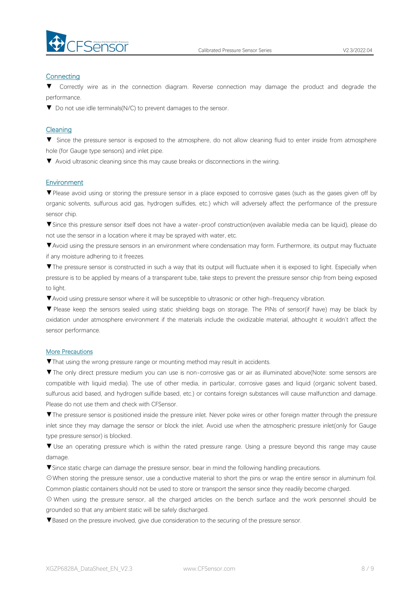

#### **Connecting**

Correctly wire as in the connection diagram. Reverse connection may damage the product and degrade the performance.

▼ Do not use idle terminals(N/C) to prevent damages to the sensor.

#### Cleaning

▼ Since the pressure sensor is exposed to the atmosphere, do not allow cleaning fluid to enter inside from atmosphere hole (for Gauge type sensors) and inlet pipe.

▼ Avoid ultrasonic cleaning since this may cause breaks or disconnections in the wiring.

#### Environment

▼Please avoid using or storing the pressure sensor in a place exposed to corrosive gases (such as the gases given off by organic solvents, sulfurous acid gas, hydrogen sulfides, etc.) which will adversely affect the performance of the pressure sensor chip.

▼Since this pressure sensor itself does not have a water-proof construction(even available media can be liquid), please do not use the sensor in alocation where it may be sprayed with water, etc.

▼Avoid using the pressure sensors in an environment where condensation may form. Furthermore, its output may fluctuate if any moisture adhering to it freezes.

▼The pressure sensor is constructed in such a way that its output will fluctuate when it is exposed to light. Especially when pressure is to be applied by means of a transparent tube, take steps to prevent the pressure sensor chip from being exposed to light.

▼Avoid using pressure sensor where it will be susceptible to ultrasonic or other high-frequency vibration.

▼ Please keep the sensors sealed using static shielding bags on storage. The PINs of sensor(if have) may be black by oxidation under atmosphere environment if the materials include the oxidizable material, althought it wouldn't affect the sensor performance.

#### More Precautions

▼That using the wrong pressure range or mounting method mayresult in accidents.

▼The only direct pressure medium you can use is non-corrosive gas or air as illuminated above(Note: some sensors are compatible with liquid media). The use of other media, in particular, corrosive gases and liquid (organic solvent based, sulfurous acid based, and hydrogen sulfide based, etc.) or contains foreign substances will cause malfunction and damage.<br>Please do not use them and check with CFSensor.

▼The pressure sensor is positioned inside the pressure inlet. Never poke wires orother foreign matter through the pressure inlet since they may damage the sensor or block the inlet. Avoid use when the atmospheric pressure inlet(only for Gauge type pressure sensor) is blocked.

▼ Use an operating pressure which is within the rated pressure range. Using a pressure beyond this range may cause damage.

▼Since static charge can damage the pressure sensor, bear in mind the following handling precautions.

☉When storing the pressure sensor, use a conductive material to short the pins or wrap the entire sensor in aluminum foil. Common plastic containers should not be used to store or transport the sensor since they readily become charged.

⊙ When using the pressure sensor, all the charged articles on the bench surface and the work personnel should be grounded so that any ambient static will be safely discharged.

▼Based on the pressure involved, give due consideration to the securing of the pressure sensor.